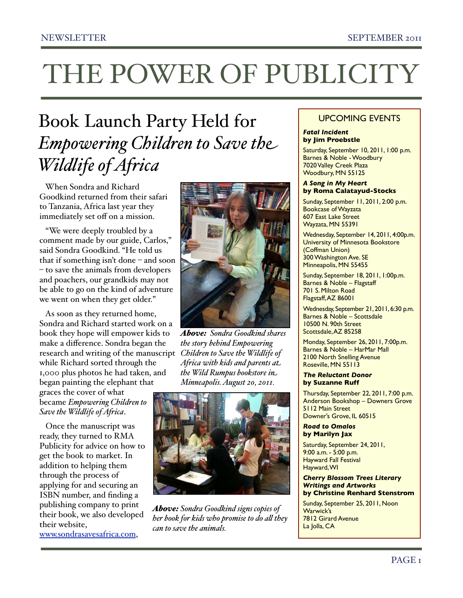# THE POWER OF PUBLICITY

### Book Launch Party Held for *Empowering Children to Save the Wildlife of Africa*

 When Sondra and Richard Goodkind returned from their safari to Tanzania, Africa last year they immediately set off on a mission.

 "We were deeply troubled by a comment made by our guide, Carlos," said Sondra Goodkind. "He told us that if something isn't done – and soon – to save the animals from developers and poachers, our grandkids may not be able to go on the kind of adventure we went on when they get older."

 As soon as they returned home, Sondra and Richard started work on a book they hope will empower kids to make a difference. Sondra began the research and writing of the manuscript *Children to Save the Wildlife of*  while Richard sorted through the 1,000 plus photos he had taken, and began painting the elephant that

graces the cover of what became *Empowering Children to Save the Wildlife of Africa*.

 Once the manuscript was ready, they turned to RMA Publicity for advice on how to get the book to market. In addition to helping them through the process of applying for and securing an ISBN number, and finding a publishing company to print their book, we also developed their website,

[www.sondrasavesafrica.com,](http://www.sondrasavesafrica.com)



*Above: Sondra Goodkind shares the story behind Empowering Africa with kids and parents at the Wild Rumpus bookstore in Minneapolis. August 20, 2011.* 



*Above: Sondra Goodkind signs copies of her book for kids who promise to do all they can to save the animals.*

#### UPCOMING EVENTS

#### *Fatal Incident* **by Jim Proebstle**

Saturday, September 10, 2011, 1:00 p.m. Barnes & Noble - Woodbury 7020 Valley Creek Plaza Woodbury, MN 55125

#### *A Song in My Heart* **by Roma Calatayud-Stocks**

Sunday, September 11, 2011, 2:00 p.m. Bookcase of Wayzata 607 East Lake Street Wayzata, MN 55391

Wednesday, September 14, 2011, 4:00p.m. University of Minnesota Bookstore (Coffman Union) 300 Washington Ave. SE Minneapolis, MN 55455

Sunday, September 18, 2011, 1:00p.m. Barnes & Noble – Flagstaff 701 S. Milton Road Flagstaff, AZ 86001

Wednesday, September 21, 2011, 6:30 p.m. Barnes & Noble – Scottsdale 10500 N. 90th Street Scottsdale, AZ 85258

Monday, September 26, 2011, 7:00p.m. Barnes & Noble – HarMar Mall 2100 North Snelling Avenue Roseville, MN 55113

#### *The Reluctant Donor* **by Suzanne Ruff**

Thursday, September 22, 2011, 7:00 p.m. Anderson Bookshop – Downers Grove 5112 Main Street Downer's Grove, IL 60515

#### *Road to Omalos* **by Marilyn Jax**

Saturday, September 24, 2011, 9:00 a.m. - 5:00 p.m. Hayward Fall Festival Hayward, WI

#### *Cherry Blossom Trees Literary Writings and Artworks* **by Christine Renhard Stenstrom**

Sunday, September 25, 2011, Noon Warwick's 7812 Girard Avenue La Jolla, CA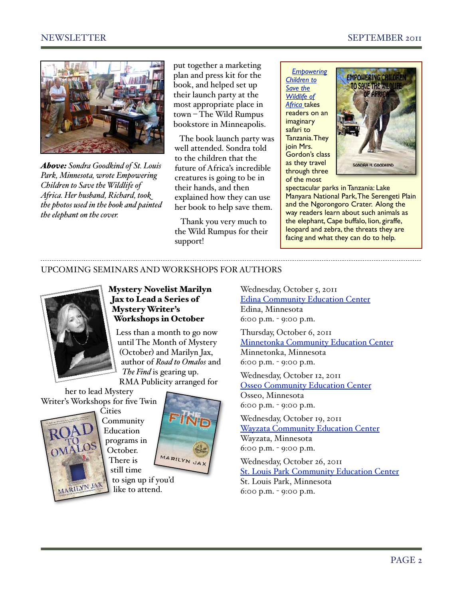#### NEWSLETTER SEPTEMBER 2011



*Above: Sondra Goodkind of St. Louis Park, Minnesota, wrote Empowering Children to Save the Wildlife of Africa. Her husband, Richard, took the photos used in the book and painted the elephant on the cover.*

put together a marketing plan and press kit for the book, and helped set up their launch party at the most appropriate place in town – The Wild Rumpus bookstore in Minneapolis.

 The book launch party was well attended. Sondra told to the children that the future of Africa's incredible creatures is going to be in their hands, and then explained how they can use her book to help save them.

 Thank you very much to the Wild Rumpus for their support!

 *[Empowering](http://www.sondrasavesafrica.com)  [Children to](http://www.sondrasavesafrica.com)  [Save the](http://www.sondrasavesafrica.com)  [Wildlife of](http://www.sondrasavesafrica.com)  [Africa](http://www.sondrasavesafrica.com)* takes readers on an imaginary safari to Tanzania. They join Mrs. Gordon's class as they travel through three of the most



spectacular parks in Tanzania: Lake Manyara National Park, The Serengeti Plain and the Ngorongoro Crater. Along the way readers learn about such animals as the elephant, Cape buffalo, lion, giraffe, leopard and zebra, the threats they are facing and what they can do to help.

#### UPCOMING SEMINARS AND WORKSHOPS FOR AUTHORS



#### Mystery Novelist Marilyn Jax to Lead a Series of Mystery Writer's Workshops in October

Less than a month to go now until The Month of Mystery (October) and Marilyn Jax, author of *Road to Omalos* and *The Find* is gearing up. RMA Publicity arranged for

her to lead Mystery Writer's Workshops for five Twin



**Cities Community** Education programs in October. There is still time



to sign up if you'd like to attend.

Wednesday, October 5, 2011 [Edina Community Education Center](http://communityed.registration.edina.k12.mn.us/course/fall-2011/so-you-want-to-write-a-riveting-mystery) Edina, Minnesota 6:00 p.m. - 9:00 p.m.

Thursday, October 6, 2011 [Minnetonka Community Education Center](http://www.minnetonkacommunityed.org/insight/registry/classinfo.asp?courseID=40877&catID=) Minnetonka, Minnesota 6:00 p.m. - 9:00 p.m.

Wednesday, October 12, 2011 [Osseo Community Education Center](http://district279.org/services/CommunityEducation/AdultPrograms/) Osseo, Minnesota 6:00 p.m. - 9:00 p.m.

Wednesday, October 19, 2011 [Wayzata Community Education Center](http://www.wayzata.k12.mn.us/Page/6363) Wayzata, Minnesota 6:00 p.m. - 9:00 p.m.

Wednesday, October 26, 2011 [St. Louis Park Community Education Center](http://www.slpcommunityed.org/insight/registry/classinfo.asp?courseID=7896&catID=1402) St. Louis Park, Minnesota 6:00 p.m. - 9:00 p.m.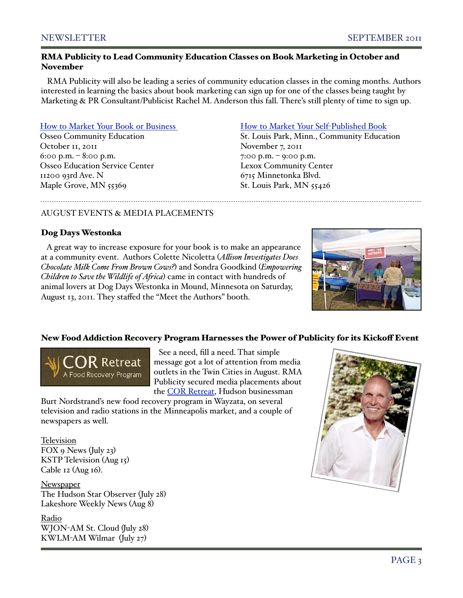#### RMA Publicity to Lead Community Education Classes on Book Marketing in October and November

 RMA Publicity will also be leading a series of community education classes in the coming months. Authors interested in learning the basics about book marketing can sign up for one of the classes being taught by Marketing & PR Consultant/Publicist Rachel M. Anderson this fall. There's still plenty of time to sign up.

#### [How to Market Your Book or Business](http://district279.org/services/CommunityEducation/AdultPrograms/)

Osseo Community Education October 11, 2011 6:00 p.m.  $-$  8:00 p.m. Osseo Education Service Center 11200 93rd Ave. N Maple Grove, MN 55369

#### [How to Market Your Self](http://www.slpcommunityed.org/insight/registry/classinfo.asp?courseID=7897&catID=)-Published Book

St. Louis Park, Minn., Community Education November 7, 2011 7:00 p.m. – 9:00 p.m. Lexox Community Center 6715 Minnetonka Blvd. St. Louis Park, MN 55426

#### AUGUST EVENTS & MEDIA PLACEMENTS

#### Dog Days Westonka

 A great way to increase exposure for your book is to make an appearance at a community event. Authors Colette Nicoletta (*A\$ison Investigates Does Chocolate Milk Come From Brown Cows?*) and Sondra Goodkind (*Empowering Children to Save the Wildlife of Africa*) came in contact with hundreds of animal lovers at Dog Days Westonka in Mound, Minnesota on Saturday, August 13, 2011. They staffed the "Meet the Authors" booth.



#### New Food Addiction Recovery Program Harnesses the Power of Publicity for its Kickoff Event



 See a need, fill a need. That simple message got a lot of attention from media outlets in the Twin Cities in August. RMA Publicity secured media placements about the [COR Retreat,](http://cormn.org/) Hudson businessman

Burt Nordstrand's new food recovery program in Wayzata, on several television and radio stations in the Minneapolis market, and a couple of newspapers as well.

Television FOX 9 News (July 23) KSTP Television (Aug 15) Cable 12 (Aug 16).

Newspaper The Hudson Star Observer (July 28) Lakeshore Weekly News (Aug 8)

Radio WJON-AM St. Cloud (July 28) KWLM-AM Wilmar (July 27)

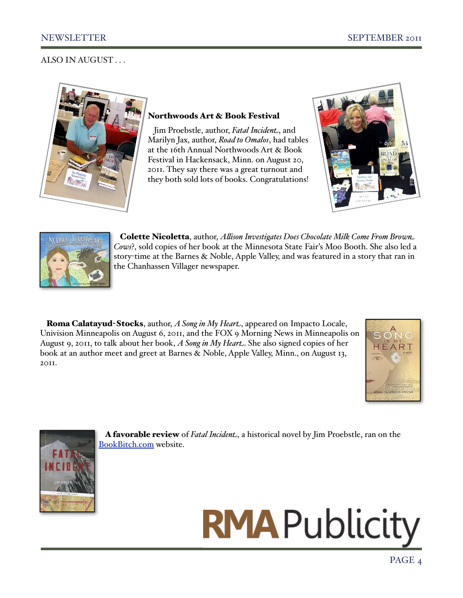#### ALSO IN AUGUST . . .



#### Northwoods Art & Book Festival

 Jim Proebstle, author, *Fatal Incident*, and Marilyn Jax, author, *Road to Omalos*, had tables at the 16th Annual Northwoods Art & Book Festival in Hackensack, Minn. on August 20, 2011. They say there was a great turnout and they both sold lots of books. Congratulations!





 Colette Nicoletta, author, *A\$ison Investigates Does Chocolate Milk Come From Brown Cows*?, sold copies of her book at the Minnesota State Fair's Moo Booth. She also led a story-time at the Barnes & Noble, Apple Valley, and was featured in a story that ran in the Chanhassen Villager newspaper.

 Roma Calatayud-Stocks, author, *A Song in My Heart*, appeared on Impacto Locale, Univision Minneapolis on August 6, 2011, and the FOX 9 Morning News in Minneapolis on August 9, 2011, to talk about her book, *A Song in My Heart*. She also signed copies of her book at an author meet and greet at Barnes & Noble, Apple Valley, Minn., on August 13, 2011.





 A favorable review of *Fatal Incident*, a historical novel by Jim Proebstle, ran on the [BookBitch.com](http://www.bookbitch.com/BOOK%20REVIEWS.htm) website.